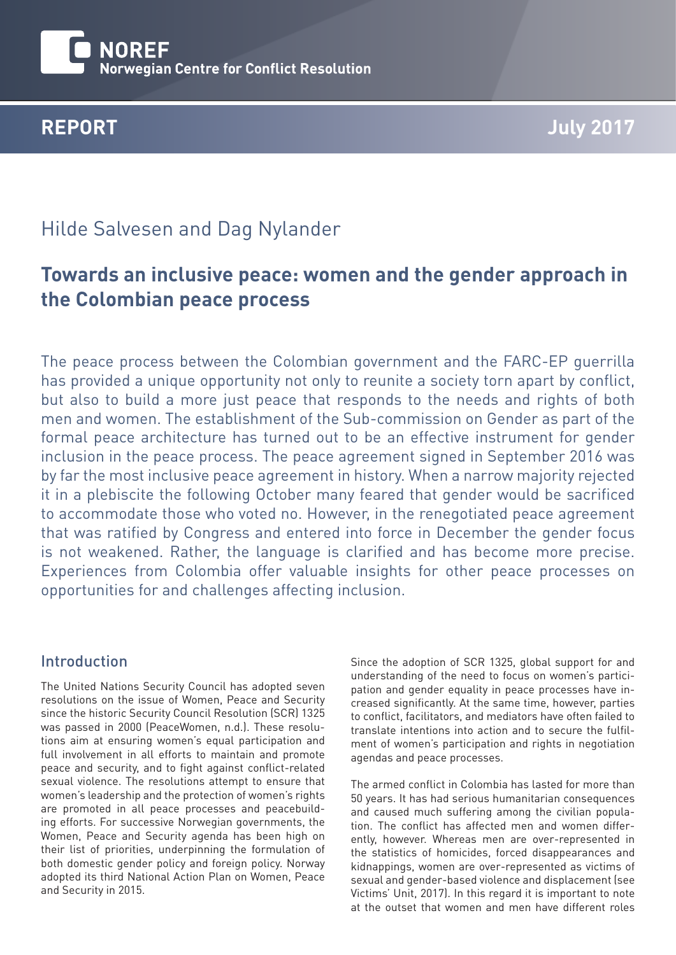

# Hilde Salvesen and Dag Nylander

# **Towards an inclusive peace: women and the gender approach in the Colombian peace process**

The peace process between the Colombian government and the FARC-EP guerrilla has provided a unique opportunity not only to reunite a society torn apart by conflict, but also to build a more just peace that responds to the needs and rights of both men and women. The establishment of the Sub-commission on Gender as part of the formal peace architecture has turned out to be an effective instrument for gender inclusion in the peace process. The peace agreement signed in September 2016 was by far the most inclusive peace agreement in history. When a narrow majority rejected it in a plebiscite the following October many feared that gender would be sacrificed to accommodate those who voted no. However, in the renegotiated peace agreement that was ratified by Congress and entered into force in December the gender focus is not weakened. Rather, the language is clarified and has become more precise. Experiences from Colombia offer valuable insights for other peace processes on opportunities for and challenges affecting inclusion.

#### Introduction

The United Nations Security Council has adopted seven resolutions on the issue of Women, Peace and Security since the historic Security Council Resolution (SCR) 1325 was passed in 2000 (PeaceWomen, n.d.). These resolutions aim at ensuring women's equal participation and full involvement in all efforts to maintain and promote peace and security, and to fight against conflict-related sexual violence. The resolutions attempt to ensure that women's leadership and the protection of women's rights are promoted in all peace processes and peacebuilding efforts. For successive Norwegian governments, the Women, Peace and Security agenda has been high on their list of priorities, underpinning the formulation of both domestic gender policy and foreign policy. Norway adopted its third National Action Plan on Women, Peace and Security in 2015.

Since the adoption of SCR 1325, global support for and understanding of the need to focus on women's participation and gender equality in peace processes have increased significantly. At the same time, however, parties to conflict, facilitators, and mediators have often failed to translate intentions into action and to secure the fulfilment of women's participation and rights in negotiation agendas and peace processes.

The armed conflict in Colombia has lasted for more than 50 years. It has had serious humanitarian consequences and caused much suffering among the civilian population. The conflict has affected men and women differently, however. Whereas men are over-represented in the statistics of homicides, forced disappearances and kidnappings, women are over-represented as victims of sexual and gender-based violence and displacement (see Victims' Unit, 2017). In this regard it is important to note at the outset that women and men have different roles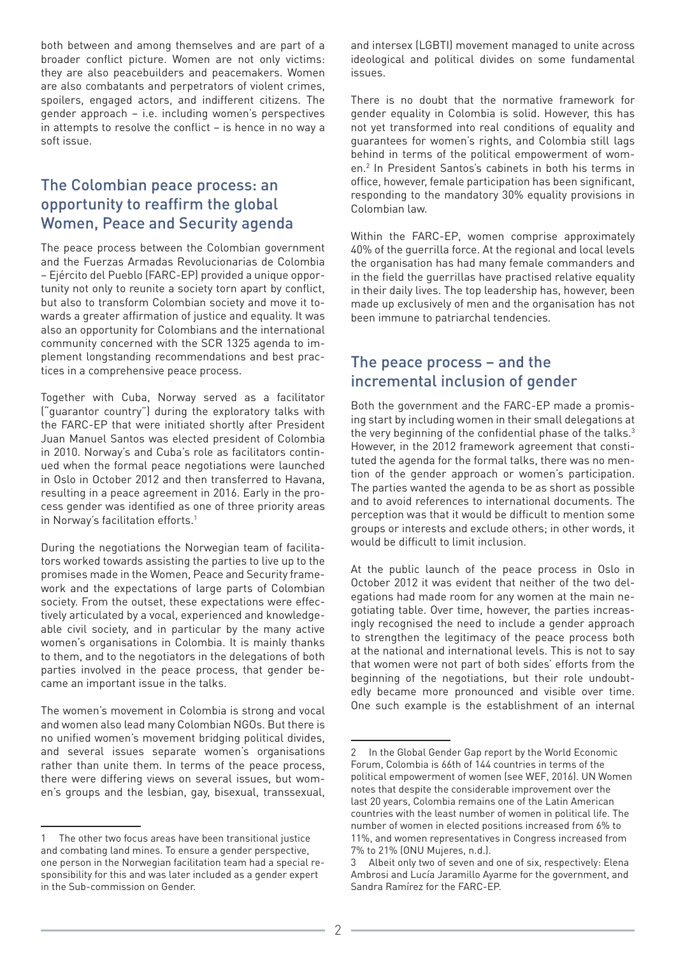both between and among themselves and are part of a broader conflict picture. Women are not only victims: they are also peacebuilders and peacemakers. Women are also combatants and perpetrators of violent crimes, spoilers, engaged actors, and indifferent citizens. The gender approach – i.e. including women's perspectives in attempts to resolve the conflict – is hence in no way a soft issue.

# The Colombian peace process: an opportunity to reaffirm the global Women, Peace and Security agenda

The peace process between the Colombian government and the Fuerzas Armadas Revolucionarias de Colombia – Ejército del Pueblo (FARC-EP) provided a unique opportunity not only to reunite a society torn apart by conflict, but also to transform Colombian society and move it towards a greater affirmation of justice and equality. It was also an opportunity for Colombians and the international community concerned with the SCR 1325 agenda to implement longstanding recommendations and best practices in a comprehensive peace process.

Together with Cuba, Norway served as a facilitator ("guarantor country") during the exploratory talks with the FARC-EP that were initiated shortly after President Juan Manuel Santos was elected president of Colombia in 2010. Norway's and Cuba's role as facilitators continued when the formal peace negotiations were launched in Oslo in October 2012 and then transferred to Havana, resulting in a peace agreement in 2016. Early in the process gender was identified as one of three priority areas in Norway's facilitation efforts.<sup>1</sup>

During the negotiations the Norwegian team of facilitators worked towards assisting the parties to live up to the promises made in the Women, Peace and Security framework and the expectations of large parts of Colombian society. From the outset, these expectations were effectively articulated by a vocal, experienced and knowledgeable civil society, and in particular by the many active women's organisations in Colombia. It is mainly thanks to them, and to the negotiators in the delegations of both parties involved in the peace process, that gender became an important issue in the talks.

The women's movement in Colombia is strong and vocal and women also lead many Colombian NGOs. But there is no unified women's movement bridging political divides, and several issues separate women's organisations rather than unite them. In terms of the peace process, there were differing views on several issues, but women's groups and the lesbian, gay, bisexual, transsexual,

and intersex (LGBTI) movement managed to unite across ideological and political divides on some fundamental issues.

There is no doubt that the normative framework for gender equality in Colombia is solid. However, this has not yet transformed into real conditions of equality and guarantees for women's rights, and Colombia still lags behind in terms of the political empowerment of women.<sup>2</sup> In President Santos's cabinets in both his terms in office, however, female participation has been significant, responding to the mandatory 30% equality provisions in Colombian law.

Within the FARC-EP, women comprise approximately 40% of the guerrilla force. At the regional and local levels the organisation has had many female commanders and in the field the guerrillas have practised relative equality in their daily lives. The top leadership has, however, been made up exclusively of men and the organisation has not been immune to patriarchal tendencies.

## The peace process – and the incremental inclusion of gender

Both the government and the FARC-EP made a promising start by including women in their small delegations at the very beginning of the confidential phase of the talks. $3$ However, in the 2012 framework agreement that constituted the agenda for the formal talks, there was no mention of the gender approach or women's participation. The parties wanted the agenda to be as short as possible and to avoid references to international documents. The perception was that it would be difficult to mention some groups or interests and exclude others; in other words, it would be difficult to limit inclusion.

At the public launch of the peace process in Oslo in October 2012 it was evident that neither of the two delegations had made room for any women at the main negotiating table. Over time, however, the parties increasingly recognised the need to include a gender approach to strengthen the legitimacy of the peace process both at the national and international levels. This is not to say that women were not part of both sides' efforts from the beginning of the negotiations, but their role undoubtedly became more pronounced and visible over time. One such example is the establishment of an internal

The other two focus areas have been transitional justice and combating land mines. To ensure a gender perspective, one person in the Norwegian facilitation team had a special responsibility for this and was later included as a gender expert in the Sub-commission on Gender.

<sup>2</sup> In the Global Gender Gap report by the World Economic Forum, Colombia is 66th of 144 countries in terms of the political empowerment of women (see WEF, 2016). UN Women notes that despite the considerable improvement over the last 20 years, Colombia remains one of the Latin American countries with the least number of women in political life. The number of women in elected positions increased from 6% to 11%, and women representatives in Congress increased from 7% to 21% (ONU Mujeres, n.d.).

<sup>3</sup> Albeit only two of seven and one of six, respectively: Elena Ambrosi and Lucía Jaramillo Ayarme for the government, and Sandra Ramírez for the FARC-EP.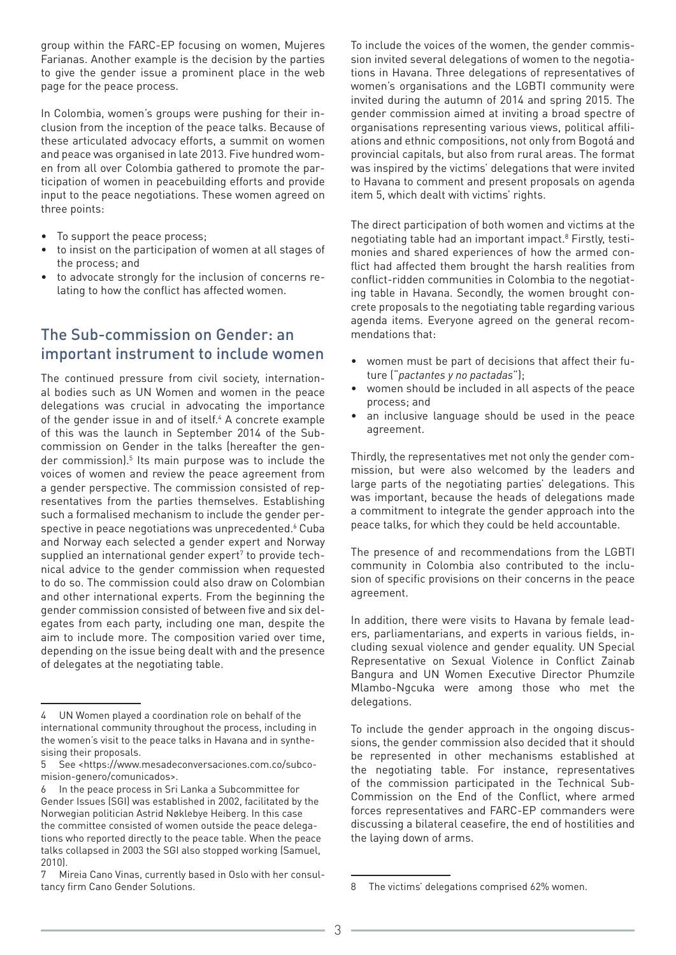group within the FARC-EP focusing on women, Mujeres Farianas. Another example is the decision by the parties to give the gender issue a prominent place in the web page for the peace process.

In Colombia, women's groups were pushing for their inclusion from the inception of the peace talks. Because of these articulated advocacy efforts, a summit on women and peace was organised in late 2013. Five hundred women from all over Colombia gathered to promote the participation of women in peacebuilding efforts and provide input to the peace negotiations. These women agreed on three points:

- To support the peace process;
- to insist on the participation of women at all stages of the process; and
- to advocate strongly for the inclusion of concerns relating to how the conflict has affected women.

# The Sub-commission on Gender: an important instrument to include women

The continued pressure from civil society, international bodies such as UN Women and women in the peace delegations was crucial in advocating the importance of the gender issue in and of itself.<sup>4</sup> A concrete example of this was the launch in September 2014 of the Subcommission on Gender in the talks (hereafter the gender commission).<sup>5</sup> Its main purpose was to include the voices of women and review the peace agreement from a gender perspective. The commission consisted of representatives from the parties themselves. Establishing such a formalised mechanism to include the gender perspective in peace negotiations was unprecedented.<sup>6</sup> Cuba and Norway each selected a gender expert and Norway supplied an international gender expert<sup>7</sup> to provide technical advice to the gender commission when requested to do so. The commission could also draw on Colombian and other international experts. From the beginning the gender commission consisted of between five and six delegates from each party, including one man, despite the aim to include more. The composition varied over time, depending on the issue being dealt with and the presence of delegates at the negotiating table.

To include the voices of the women, the gender commission invited several delegations of women to the negotiations in Havana. Three delegations of representatives of women's organisations and the LGBTI community were invited during the autumn of 2014 and spring 2015. The gender commission aimed at inviting a broad spectre of organisations representing various views, political affiliations and ethnic compositions, not only from Bogotá and provincial capitals, but also from rural areas. The format was inspired by the victims' delegations that were invited to Havana to comment and present proposals on agenda item 5, which dealt with victims' rights.

The direct participation of both women and victims at the negotiating table had an important impact.<sup>8</sup> Firstly, testimonies and shared experiences of how the armed conflict had affected them brought the harsh realities from conflict-ridden communities in Colombia to the negotiating table in Havana. Secondly, the women brought concrete proposals to the negotiating table regarding various agenda items. Everyone agreed on the general recommendations that:

- women must be part of decisions that affect their future ("*pactantes y no pactadas*");
- women should be included in all aspects of the peace process; and
- an inclusive language should be used in the peace agreement.

Thirdly, the representatives met not only the gender commission, but were also welcomed by the leaders and large parts of the negotiating parties' delegations. This was important, because the heads of delegations made a commitment to integrate the gender approach into the peace talks, for which they could be held accountable.

The presence of and recommendations from the LGBTI community in Colombia also contributed to the inclusion of specific provisions on their concerns in the peace agreement.

In addition, there were visits to Havana by female leaders, parliamentarians, and experts in various fields, including sexual violence and gender equality. UN Special Representative on Sexual Violence in Conflict Zainab Bangura and UN Women Executive Director Phumzile Mlambo-Ngcuka were among those who met the delegations.

To include the gender approach in the ongoing discussions, the gender commission also decided that it should be represented in other mechanisms established at the negotiating table. For instance, representatives of the commission participated in the Technical Sub-Commission on the End of the Conflict, where armed forces representatives and FARC-EP commanders were discussing a bilateral ceasefire, the end of hostilities and the laying down of arms.

<sup>4</sup> UN Women played a coordination role on behalf of the international community throughout the process, including in the women's visit to the peace talks in Havana and in synthesising their proposals.

<sup>5</sup> See <https://www.mesadeconversaciones.com.co/subcomision-genero/comunicados>.

<sup>6</sup> In the peace process in Sri Lanka a Subcommittee for Gender Issues (SGI) was established in 2002, facilitated by the Norwegian politician Astrid Nøklebye Heiberg. In this case the committee consisted of women outside the peace delegations who reported directly to the peace table. When the peace talks collapsed in 2003 the SGI also stopped working (Samuel, 2010).

<sup>7</sup> Mireia Cano Vinas, currently based in Oslo with her consultancy firm Cano Gender Solutions.

<sup>8</sup> The victims' delegations comprised 62% women.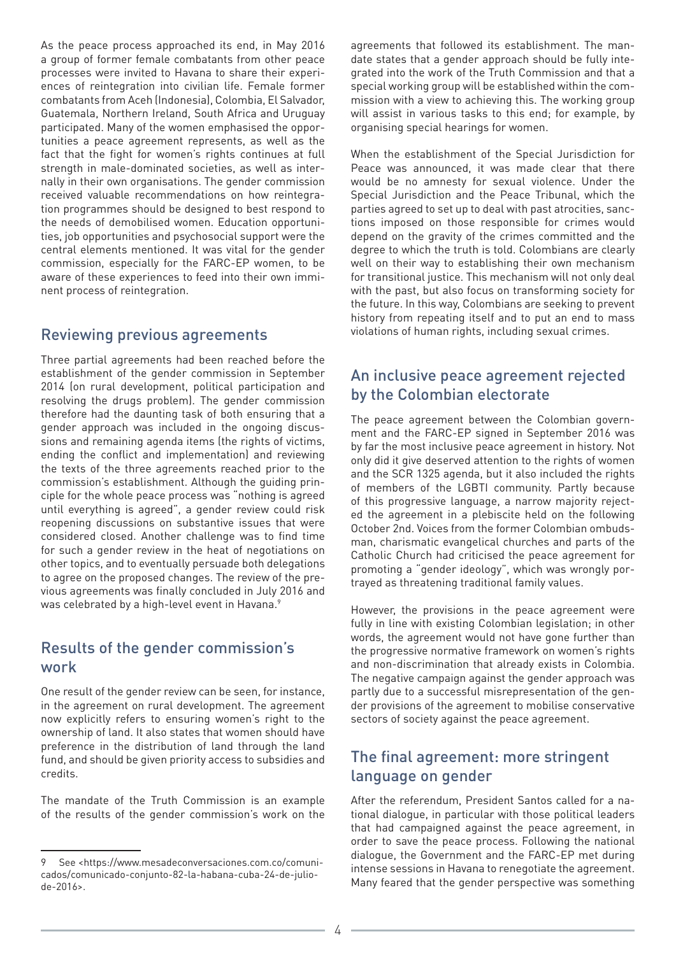As the peace process approached its end, in May 2016 a group of former female combatants from other peace processes were invited to Havana to share their experiences of reintegration into civilian life. Female former combatants from Aceh (Indonesia), Colombia, El Salvador, Guatemala, Northern Ireland, South Africa and Uruguay participated. Many of the women emphasised the opportunities a peace agreement represents, as well as the fact that the fight for women's rights continues at full strength in male-dominated societies, as well as internally in their own organisations. The gender commission received valuable recommendations on how reintegration programmes should be designed to best respond to the needs of demobilised women. Education opportunities, job opportunities and psychosocial support were the central elements mentioned. It was vital for the gender commission, especially for the FARC-EP women, to be aware of these experiences to feed into their own imminent process of reintegration.

#### Reviewing previous agreements

Three partial agreements had been reached before the establishment of the gender commission in September 2014 (on rural development, political participation and resolving the drugs problem). The gender commission therefore had the daunting task of both ensuring that a gender approach was included in the ongoing discussions and remaining agenda items (the rights of victims, ending the conflict and implementation) and reviewing the texts of the three agreements reached prior to the commission's establishment. Although the guiding principle for the whole peace process was "nothing is agreed until everything is agreed", a gender review could risk reopening discussions on substantive issues that were considered closed. Another challenge was to find time for such a gender review in the heat of negotiations on other topics, and to eventually persuade both delegations to agree on the proposed changes. The review of the previous agreements was finally concluded in July 2016 and was celebrated by a high-level event in Havana.9

#### Results of the gender commission's work

One result of the gender review can be seen, for instance, in the agreement on rural development. The agreement now explicitly refers to ensuring women's right to the ownership of land. It also states that women should have preference in the distribution of land through the land fund, and should be given priority access to subsidies and credits.

The mandate of the Truth Commission is an example of the results of the gender commission's work on the

agreements that followed its establishment. The mandate states that a gender approach should be fully integrated into the work of the Truth Commission and that a special working group will be established within the commission with a view to achieving this. The working group will assist in various tasks to this end; for example, by organising special hearings for women.

When the establishment of the Special Jurisdiction for Peace was announced, it was made clear that there would be no amnesty for sexual violence. Under the Special Jurisdiction and the Peace Tribunal, which the parties agreed to set up to deal with past atrocities, sanctions imposed on those responsible for crimes would depend on the gravity of the crimes committed and the degree to which the truth is told. Colombians are clearly well on their way to establishing their own mechanism for transitional justice. This mechanism will not only deal with the past, but also focus on transforming society for the future. In this way, Colombians are seeking to prevent history from repeating itself and to put an end to mass violations of human rights, including sexual crimes.

### An inclusive peace agreement rejected by the Colombian electorate

The peace agreement between the Colombian government and the FARC-EP signed in September 2016 was by far the most inclusive peace agreement in history. Not only did it give deserved attention to the rights of women and the SCR 1325 agenda, but it also included the rights of members of the LGBTI community. Partly because of this progressive language, a narrow majority rejected the agreement in a plebiscite held on the following October 2nd. Voices from the former Colombian ombudsman, charismatic evangelical churches and parts of the Catholic Church had criticised the peace agreement for promoting a "gender ideology", which was wrongly portrayed as threatening traditional family values.

However, the provisions in the peace agreement were fully in line with existing Colombian legislation; in other words, the agreement would not have gone further than the progressive normative framework on women's rights and non-discrimination that already exists in Colombia. The negative campaign against the gender approach was partly due to a successful misrepresentation of the gender provisions of the agreement to mobilise conservative sectors of society against the peace agreement.

## The final agreement: more stringent language on gender

After the referendum, President Santos called for a national dialogue, in particular with those political leaders that had campaigned against the peace agreement, in order to save the peace process. Following the national dialogue, the Government and the FARC-EP met during intense sessions in Havana to renegotiate the agreement. Many feared that the gender perspective was something

<sup>9</sup> See <https://www.mesadeconversaciones.com.co/comunicados/comunicado-conjunto-82-la-habana-cuba-24-de-juliode-2016>.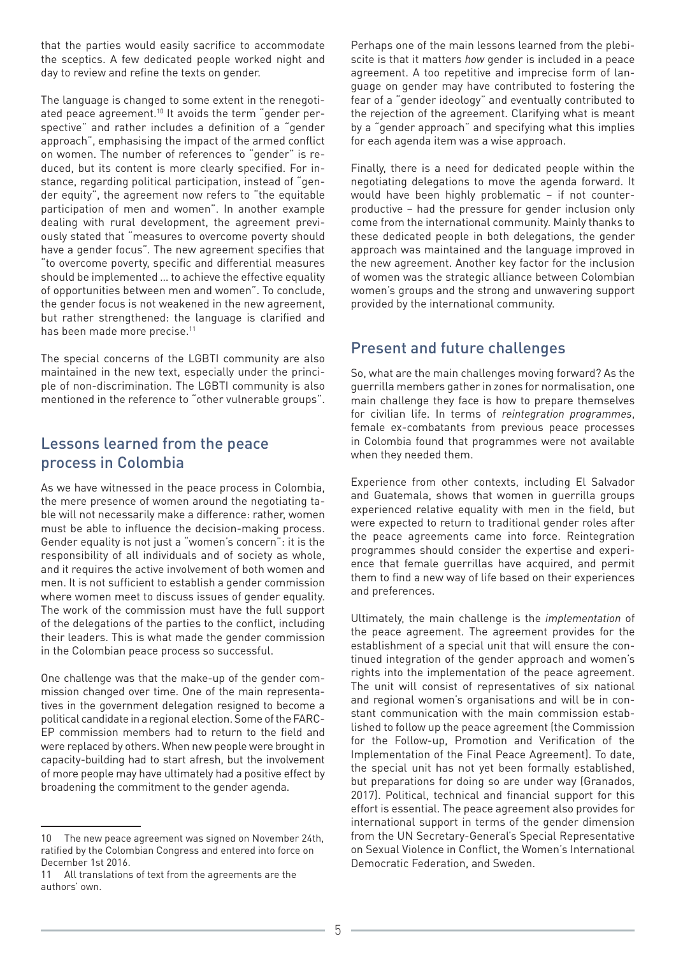that the parties would easily sacrifice to accommodate the sceptics. A few dedicated people worked night and day to review and refine the texts on gender.

The language is changed to some extent in the renegotiated peace agreement.<sup>10</sup> It avoids the term "gender perspective" and rather includes a definition of a "gender approach", emphasising the impact of the armed conflict on women. The number of references to "gender" is reduced, but its content is more clearly specified. For instance, regarding political participation, instead of "gender equity", the agreement now refers to "the equitable participation of men and women". In another example dealing with rural development, the agreement previously stated that "measures to overcome poverty should have a gender focus"*.* The new agreement specifies that "to overcome poverty, specific and differential measures should be implemented … to achieve the effective equality of opportunities between men and women". To conclude, the gender focus is not weakened in the new agreement, but rather strengthened: the language is clarified and has been made more precise.<sup>11</sup>

The special concerns of the LGBTI community are also maintained in the new text, especially under the principle of non-discrimination. The LGBTI community is also mentioned in the reference to "other vulnerable groups".

# Lessons learned from the peace process in Colombia

As we have witnessed in the peace process in Colombia, the mere presence of women around the negotiating table will not necessarily make a difference: rather, women must be able to influence the decision-making process. Gender equality is not just a "women's concern": it is the responsibility of all individuals and of society as whole, and it requires the active involvement of both women and men. It is not sufficient to establish a gender commission where women meet to discuss issues of gender equality. The work of the commission must have the full support of the delegations of the parties to the conflict, including their leaders. This is what made the gender commission in the Colombian peace process so successful.

One challenge was that the make-up of the gender commission changed over time. One of the main representatives in the government delegation resigned to become a political candidate in a regional election. Some of the FARC-EP commission members had to return to the field and were replaced by others. When new people were brought in capacity-building had to start afresh, but the involvement of more people may have ultimately had a positive effect by broadening the commitment to the gender agenda.

Perhaps one of the main lessons learned from the plebiscite is that it matters *how* gender is included in a peace agreement. A too repetitive and imprecise form of language on gender may have contributed to fostering the fear of a "gender ideology" and eventually contributed to the rejection of the agreement. Clarifying what is meant by a "gender approach" and specifying what this implies for each agenda item was a wise approach.

Finally, there is a need for dedicated people within the negotiating delegations to move the agenda forward. It would have been highly problematic – if not counterproductive – had the pressure for gender inclusion only come from the international community. Mainly thanks to these dedicated people in both delegations, the gender approach was maintained and the language improved in the new agreement. Another key factor for the inclusion of women was the strategic alliance between Colombian women's groups and the strong and unwavering support provided by the international community.

### Present and future challenges

So, what are the main challenges moving forward? As the guerrilla members gather in zones for normalisation, one main challenge they face is how to prepare themselves for civilian life. In terms of *reintegration programmes*, female ex-combatants from previous peace processes in Colombia found that programmes were not available when they needed them.

Experience from other contexts, including El Salvador and Guatemala, shows that women in guerrilla groups experienced relative equality with men in the field, but were expected to return to traditional gender roles after the peace agreements came into force. Reintegration programmes should consider the expertise and experience that female guerrillas have acquired, and permit them to find a new way of life based on their experiences and preferences.

Ultimately, the main challenge is the *implementation* of the peace agreement. The agreement provides for the establishment of a special unit that will ensure the continued integration of the gender approach and women's rights into the implementation of the peace agreement. The unit will consist of representatives of six national and regional women's organisations and will be in constant communication with the main commission established to follow up the peace agreement (the Commission for the Follow-up, Promotion and Verification of the Implementation of the Final Peace Agreement). To date, the special unit has not yet been formally established, but preparations for doing so are under way (Granados, 2017). Political, technical and financial support for this effort is essential. The peace agreement also provides for international support in terms of the gender dimension from the UN Secretary-General's Special Representative on Sexual Violence in Conflict, the Women's International Democratic Federation, and Sweden.

<sup>10</sup> The new peace agreement was signed on November 24th, ratified by the Colombian Congress and entered into force on December 1st 2016.

<sup>11</sup> All translations of text from the agreements are the authors' own.